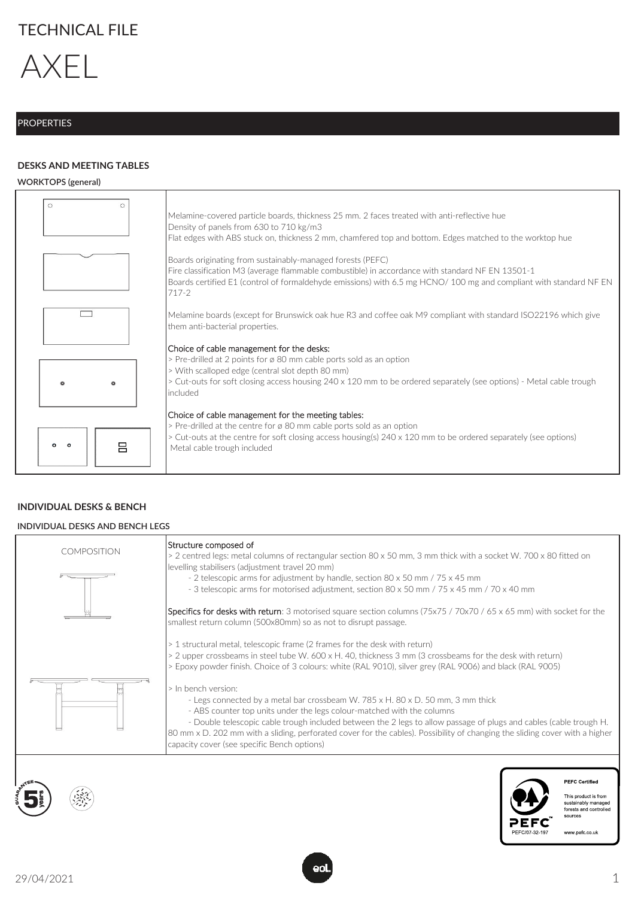# TECHNICAL FILE



## **PROPERTIES**

## **DESKS AND MEETING TABLES**

#### **WORKTOPS (general)**

| $\circ$                   | Melamine-covered particle boards, thickness 25 mm. 2 faces treated with anti-reflective hue<br>Density of panels from 630 to 710 kg/m3<br>Flat edges with ABS stuck on, thickness 2 mm, chamfered top and bottom. Edges matched to the worktop hue                                                      |
|---------------------------|---------------------------------------------------------------------------------------------------------------------------------------------------------------------------------------------------------------------------------------------------------------------------------------------------------|
|                           | Boards originating from sustainably-managed forests (PEFC)<br>Fire classification M3 (average flammable combustible) in accordance with standard NF EN 13501-1<br>Boards certified E1 (control of formaldehyde emissions) with 6.5 mg HCNO/100 mg and compliant with standard NF EN<br>$717-2$          |
|                           | Melamine boards (except for Brunswick oak hue R3 and coffee oak M9 compliant with standard ISO22196 which give<br>them anti-bacterial properties.                                                                                                                                                       |
|                           | Choice of cable management for the desks:<br>> Pre-drilled at 2 points for ø 80 mm cable ports sold as an option<br>> With scalloped edge (central slot depth 80 mm)<br>> Cut-outs for soft closing access housing 240 x 120 mm to be ordered separately (see options) - Metal cable trough<br>included |
| 吕<br>$\bullet$<br>$\circ$ | Choice of cable management for the meeting tables:<br>> Pre-drilled at the centre for ø 80 mm cable ports sold as an option<br>> Cut-outs at the centre for soft closing access housing(s) 240 x 120 mm to be ordered separately (see options)<br>Metal cable trough included                           |

## **INDIVIDUAL DESKS & BENCH**

#### **INDIVIDUAL DESKS AND BENCH LEGS**

| <b>COMPOSITION</b> | Structure composed of<br>> 2 centred legs: metal columns of rectangular section 80 x 50 mm, 3 mm thick with a socket W. 700 x 80 fitted on<br>levelling stabilisers (adjustment travel 20 mm)<br>- 2 telescopic arms for adjustment by handle, section 80 x 50 mm / 75 x 45 mm<br>- 3 telescopic arms for motorised adjustment, section 80 x 50 mm / 75 x 45 mm / 70 x 40 mm                                                                                                                                                                                                                                                                                                                                                                                                                 |
|--------------------|----------------------------------------------------------------------------------------------------------------------------------------------------------------------------------------------------------------------------------------------------------------------------------------------------------------------------------------------------------------------------------------------------------------------------------------------------------------------------------------------------------------------------------------------------------------------------------------------------------------------------------------------------------------------------------------------------------------------------------------------------------------------------------------------|
|                    | Specifics for desks with return: 3 motorised square section columns (75x75 / 70x70 / 65 x 65 mm) with socket for the<br>smallest return column (500x80mm) so as not to disrupt passage.                                                                                                                                                                                                                                                                                                                                                                                                                                                                                                                                                                                                      |
|                    | > 1 structural metal, telescopic frame (2 frames for the desk with return)<br>> 2 upper crossbeams in steel tube W. 600 x H. 40, thickness 3 mm (3 crossbeams for the desk with return)<br>> Epoxy powder finish. Choice of 3 colours: white (RAL 9010), silver grey (RAL 9006) and black (RAL 9005)<br>> In bench version:<br>- Legs connected by a metal bar crossbeam W. 785 x H. 80 x D. 50 mm, 3 mm thick<br>- ABS counter top units under the legs colour-matched with the columns<br>- Double telescopic cable trough included between the 2 legs to allow passage of plugs and cables (cable trough H.<br>80 mm x D. 202 mm with a sliding, perforated cover for the cables). Possibility of changing the sliding cover with a higher<br>capacity cover (see specific Bench options) |
|                    | <b>PEFC Certified</b><br>This product is from<br>sustainably managed<br>forests and controlled<br>sources<br>www.pefc.co.uk                                                                                                                                                                                                                                                                                                                                                                                                                                                                                                                                                                                                                                                                  |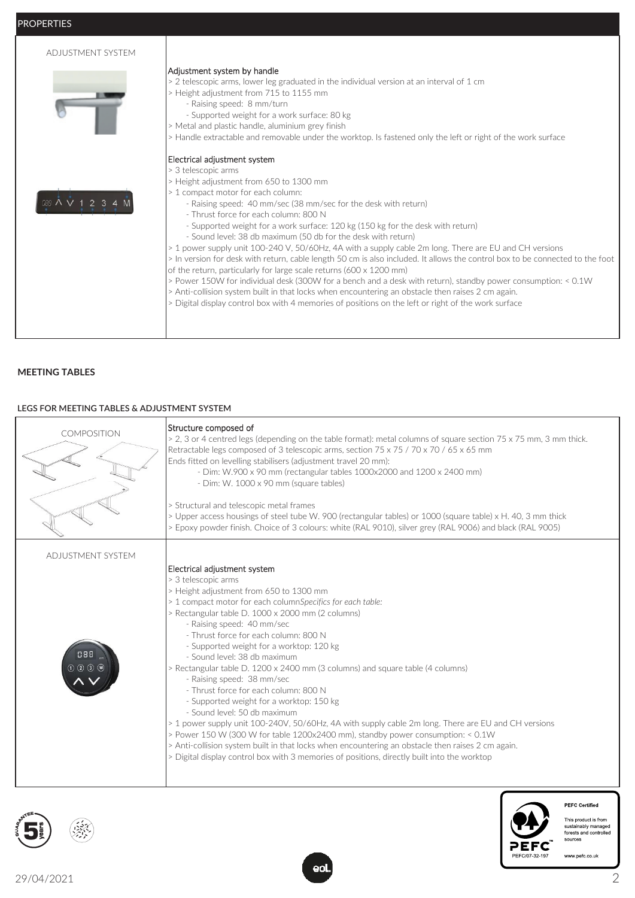PROPERTIES

| ADJUSTMENT SYSTEM |                                                                                                                                                                                                                                                                                                                                                                                                                                                                                                                                                                                                                                                                                                                                                                                                                                                                                                                                                                                                                                                     |
|-------------------|-----------------------------------------------------------------------------------------------------------------------------------------------------------------------------------------------------------------------------------------------------------------------------------------------------------------------------------------------------------------------------------------------------------------------------------------------------------------------------------------------------------------------------------------------------------------------------------------------------------------------------------------------------------------------------------------------------------------------------------------------------------------------------------------------------------------------------------------------------------------------------------------------------------------------------------------------------------------------------------------------------------------------------------------------------|
|                   | Adjustment system by handle<br>> 2 telescopic arms, lower leg graduated in the individual version at an interval of 1 cm<br>> Height adjustment from 715 to 1155 mm<br>- Raising speed: 8 mm/turn<br>- Supported weight for a work surface: 80 kg<br>> Metal and plastic handle, aluminium grey finish<br>> Handle extractable and removable under the worktop. Is fastened only the left or right of the work surface                                                                                                                                                                                                                                                                                                                                                                                                                                                                                                                                                                                                                              |
|                   | Electrical adjustment system<br>> 3 telescopic arms<br>> Height adjustment from 650 to 1300 mm<br>> 1 compact motor for each column:<br>- Raising speed: 40 mm/sec (38 mm/sec for the desk with return)<br>- Thrust force for each column: 800 N<br>- Supported weight for a work surface: 120 kg (150 kg for the desk with return)<br>- Sound level: 38 db maximum (50 db for the desk with return)<br>> 1 power supply unit 100-240 V, 50/60Hz, 4A with a supply cable 2m long. There are EU and CH versions<br>> In version for desk with return, cable length 50 cm is also included. It allows the control box to be connected to the foot<br>of the return, particularly for large scale returns (600 x 1200 mm)<br>> Power 150W for individual desk (300W for a bench and a desk with return), standby power consumption: < 0.1W<br>> Anti-collision system built in that locks when encountering an obstacle then raises 2 cm again.<br>> Digital display control box with 4 memories of positions on the left or right of the work surface |

#### **MEETING TABLES**

#### **LEGS FOR MEETING TABLES & ADJUSTMENT SYSTEM**

| COMPOSITION                      | Structure composed of<br>> 2, 3 or 4 centred legs (depending on the table format): metal columns of square section 75 x 75 mm, 3 mm thick.<br>Retractable legs composed of 3 telescopic arms, section 75 x 75 / 70 x 70 / 65 x 65 mm<br>Ends fitted on levelling stabilisers (adjustment travel 20 mm):<br>- Dim: W.900 x 90 mm (rectangular tables 1000x2000 and 1200 x 2400 mm)<br>- Dim: W. 1000 x 90 mm (square tables)<br>> Structural and telescopic metal frames<br>> Upper access housings of steel tube W. 900 (rectangular tables) or 1000 (square table) x H. 40, 3 mm thick<br>> Epoxy powder finish. Choice of 3 colours: white (RAL 9010), silver grey (RAL 9006) and black (RAL 9005)                                                                                                                                                                                                                                                                                                    |
|----------------------------------|---------------------------------------------------------------------------------------------------------------------------------------------------------------------------------------------------------------------------------------------------------------------------------------------------------------------------------------------------------------------------------------------------------------------------------------------------------------------------------------------------------------------------------------------------------------------------------------------------------------------------------------------------------------------------------------------------------------------------------------------------------------------------------------------------------------------------------------------------------------------------------------------------------------------------------------------------------------------------------------------------------|
| ADJUSTMENT SYSTEM<br>088<br>0000 | Electrical adjustment system<br>> 3 telescopic arms<br>> Height adjustment from 650 to 1300 mm<br>> 1 compact motor for each columnSpecifics for each table:<br>> Rectangular table D. 1000 x 2000 mm (2 columns)<br>- Raising speed: 40 mm/sec<br>- Thrust force for each column: 800 N<br>- Supported weight for a worktop: 120 kg<br>- Sound level: 38 db maximum<br>> Rectangular table D. 1200 x 2400 mm (3 columns) and square table (4 columns)<br>- Raising speed: 38 mm/sec<br>- Thrust force for each column: 800 N<br>- Supported weight for a worktop: 150 kg<br>- Sound level: 50 db maximum<br>> 1 power supply unit 100-240V, 50/60Hz, 4A with supply cable 2m long. There are EU and CH versions<br>> Power 150 W (300 W for table 1200x2400 mm), standby power consumption: < 0.1W<br>> Anti-collision system built in that locks when encountering an obstacle then raises 2 cm again.<br>> Digital display control box with 3 memories of positions, directly built into the worktop |





This product is from<br>sustainably managed<br>forests and controlled<br>sources

**PEFC Certified**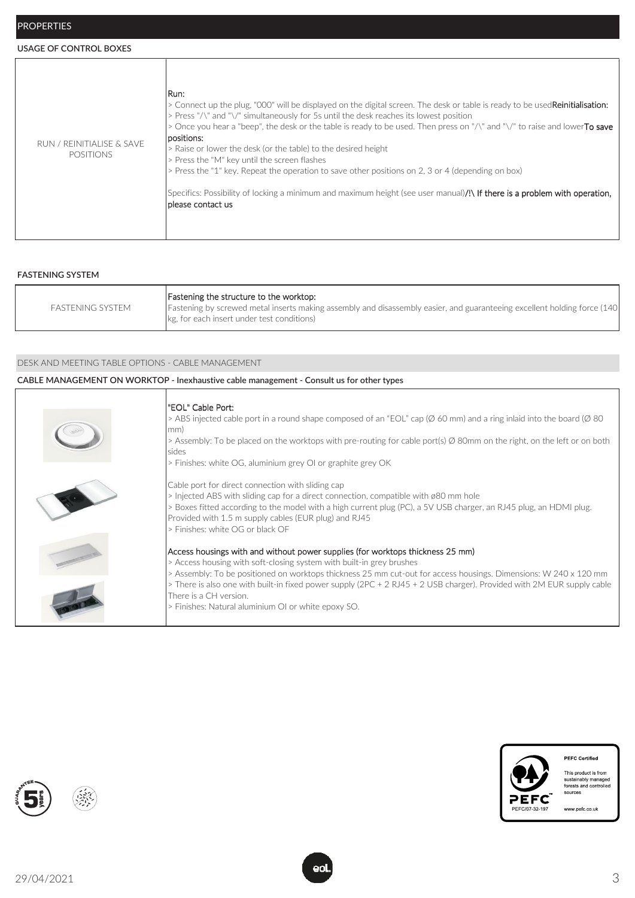#### **USAGE OF CONTROL BOXES**

| Run:<br>> Connect up the plug, "000" will be displayed on the digital screen. The desk or table is ready to be used <b>Reinitialisation:</b><br>> Press "/\" and "\/" simultaneously for 5s until the desk reaches its lowest position<br>> Once you hear a "beep", the desk or the table is ready to be used. Then press on "/\" and "\/" to raise and lowerTo save<br>positions:<br>RUN / REINITIALISE & SAVE<br>> Raise or lower the desk (or the table) to the desired height<br><b>POSITIONS</b><br>> Press the "M" key until the screen flashes<br>> Press the "1" key. Repeat the operation to save other positions on 2, 3 or 4 (depending on box)<br>Specifics: Possibility of locking a minimum and maximum height (see user manual) <b>/!\ If there is a problem with operation,</b><br>Iplease contact us |
|-----------------------------------------------------------------------------------------------------------------------------------------------------------------------------------------------------------------------------------------------------------------------------------------------------------------------------------------------------------------------------------------------------------------------------------------------------------------------------------------------------------------------------------------------------------------------------------------------------------------------------------------------------------------------------------------------------------------------------------------------------------------------------------------------------------------------|
|-----------------------------------------------------------------------------------------------------------------------------------------------------------------------------------------------------------------------------------------------------------------------------------------------------------------------------------------------------------------------------------------------------------------------------------------------------------------------------------------------------------------------------------------------------------------------------------------------------------------------------------------------------------------------------------------------------------------------------------------------------------------------------------------------------------------------|

#### **FASTENING SYSTEM**

| FASTENING SYSTEM | Fastening the structure to the worktop:<br>Fastening by screwed metal inserts making assembly and disassembly easier, and guaranteeing excellent holding force (140)<br>kg, for each insert under test conditions) |
|------------------|--------------------------------------------------------------------------------------------------------------------------------------------------------------------------------------------------------------------|
|------------------|--------------------------------------------------------------------------------------------------------------------------------------------------------------------------------------------------------------------|

#### DESK AND MEETING TABLE OPTIONS - CABLE MANAGEMENT

#### **CABLE MANAGEMENT ON WORKTOP - Inexhaustive cable management - Consult us for other types**

| "EOL" Cable Port:<br>> ABS injected cable port in a round shape composed of an "EOL" cap ( $\varnothing$ 60 mm) and a ring inlaid into the board ( $\varnothing$ 80<br>mm)<br>> Assembly: To be placed on the worktops with pre-routing for cable port(s) $\emptyset$ 80mm on the right, on the left or on both<br>sides<br>> Finishes: white OG, aluminium grey OI or graphite grey OK                                                                                               |
|---------------------------------------------------------------------------------------------------------------------------------------------------------------------------------------------------------------------------------------------------------------------------------------------------------------------------------------------------------------------------------------------------------------------------------------------------------------------------------------|
| Cable port for direct connection with sliding cap<br>> Injected ABS with sliding cap for a direct connection, compatible with ø80 mm hole<br>> Boxes fitted according to the model with a high current plug (PC), a 5V USB charger, an RJ45 plug, an HDMI plug.<br>Provided with 1.5 m supply cables (EUR plug) and RJ45<br>> Finishes: white OG or black OF                                                                                                                          |
| Access housings with and without power supplies (for worktops thickness 25 mm)<br>> Access housing with soft-closing system with built-in grey brushes<br>> Assembly: To be positioned on worktops thickness 25 mm cut-out for access housings. Dimensions: W 240 x 120 mm<br>> There is also one with built-in fixed power supply (2PC + 2 RJ45 + 2 USB charger). Provided with 2M EUR supply cable<br>There is a CH version.<br>> Finishes: Natural aluminium OI or white epoxy SO. |





This product is from<br>sustainably managed<br>forests and controlled<br>sources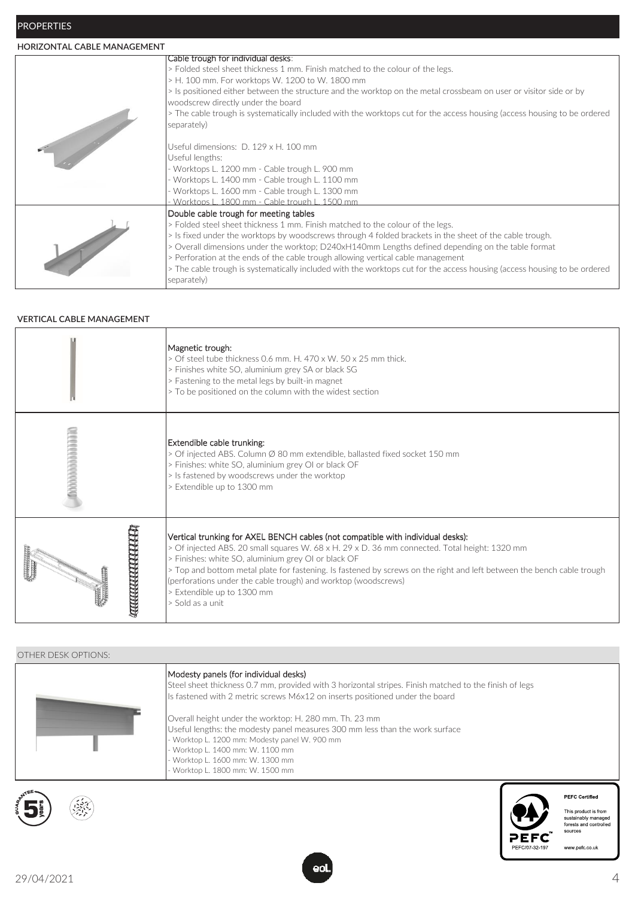## **HORIZONTAL CABLE MANAGEMENT**

| Cable trough for individual desks:                                                                                       |
|--------------------------------------------------------------------------------------------------------------------------|
| > Folded steel sheet thickness 1 mm. Finish matched to the colour of the legs.                                           |
| > H. 100 mm. For worktops W. 1200 to W. 1800 mm                                                                          |
| > Is positioned either between the structure and the worktop on the metal crossbeam on user or visitor side or by        |
| woodscrew directly under the board                                                                                       |
| > The cable trough is systematically included with the worktops cut for the access housing (access housing to be ordered |
| separately)                                                                                                              |
|                                                                                                                          |
| Useful dimensions: D. 129 x H. 100 mm                                                                                    |
| Useful lengths:                                                                                                          |
| Worktops L. 1200 mm - Cable trough L. 900 mm                                                                             |
| Worktops L. 1400 mm - Cable trough L. 1100 mm                                                                            |
| Worktops L. 1600 mm - Cable trough L. 1300 mm                                                                            |
| - Worktops L. 1800 mm - Cable trough L. 1500 mm                                                                          |
|                                                                                                                          |
| Double cable trough for meeting tables                                                                                   |
| > Folded steel sheet thickness 1 mm. Finish matched to the colour of the legs.                                           |
| > Is fixed under the worktops by woodscrews through 4 folded brackets in the sheet of the cable trough.                  |
| > Overall dimensions under the worktop; D240xH140mm Lengths defined depending on the table format                        |
| > Perforation at the ends of the cable trough allowing vertical cable management                                         |
| > The cable trough is systematically included with the worktops cut for the access housing (access housing to be ordered |
| separately)                                                                                                              |
|                                                                                                                          |

#### **VERTICAL CABLE MANAGEMENT**

|                      | Magnetic trough:<br>> Of steel tube thickness 0.6 mm. H. 470 x W. 50 x 25 mm thick.<br>> Finishes white SO, aluminium grey SA or black SG<br>> Fastening to the metal legs by built-in magnet<br>> To be positioned on the column with the widest section                                                                                                                                                                                                                              |
|----------------------|----------------------------------------------------------------------------------------------------------------------------------------------------------------------------------------------------------------------------------------------------------------------------------------------------------------------------------------------------------------------------------------------------------------------------------------------------------------------------------------|
| <b>MANAGEMENT</b>    | Extendible cable trunking:<br>> Of injected ABS. Column Ø 80 mm extendible, ballasted fixed socket 150 mm<br>> Finishes: white SO, aluminium grey OI or black OF<br>> Is fastened by woodscrews under the worktop<br>> Extendible up to 1300 mm                                                                                                                                                                                                                                        |
| <b>ANANANA PRIMA</b> | Vertical trunking for AXEL BENCH cables (not compatible with individual desks):<br>> Of injected ABS. 20 small squares W. 68 x H. 29 x D. 36 mm connected. Total height: 1320 mm<br>> Finishes: white SO, aluminium grey OI or black OF<br>> Top and bottom metal plate for fastening. Is fastened by screws on the right and left between the bench cable trough<br>(perforations under the cable trough) and worktop (woodscrews)<br>> Extendible up to 1300 mm<br>> Sold as a unit. |

## OTHER DESK OPTIONS:

| Modesty panels (for individual desks)<br>Steel sheet thickness 0.7 mm, provided with 3 horizontal stripes. Finish matched to the finish of legs<br>Is fastened with 2 metric screws M6x12 on inserts positioned under the board                                                                     |
|-----------------------------------------------------------------------------------------------------------------------------------------------------------------------------------------------------------------------------------------------------------------------------------------------------|
| Overall height under the worktop: H. 280 mm. Th. 23 mm<br>Useful lengths: the modesty panel measures 300 mm less than the work surface<br>- Worktop L. 1200 mm: Modesty panel W. 900 mm<br>- Worktop L. 1400 mm: W. 1100 mm<br>- Worktop L. 1600 mm: W. 1300 mm<br>- Worktop L. 1800 mm: W. 1500 mm |





**PEFC Certified** 

This product is from<br>sustainably managed<br>forests and controlled<br>sources

www.pefc.co.uk

29/04/2021 4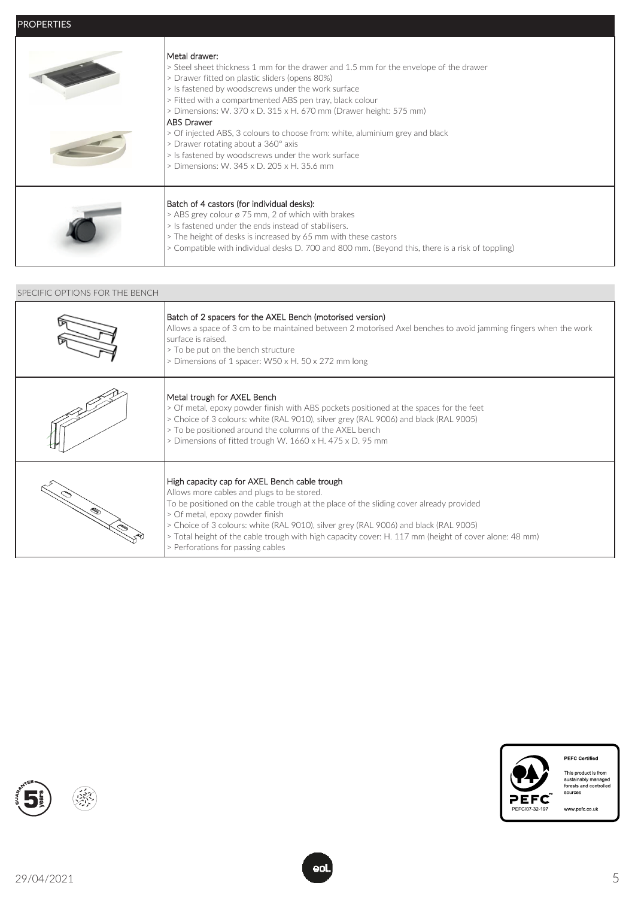| Metal drawer:-<br>> Steel sheet thickness 1 mm for the drawer and 1.5 mm for the envelope of the drawer<br>> Drawer fitted on plastic sliders (opens 80%)<br>> Is fastened by woodscrews under the work surface<br>> Fitted with a compartmented ABS pen tray, black colour<br>$>$ Dimensions: W. 370 x D. 315 x H. 670 mm (Drawer height: 575 mm)<br>IABS Drawer<br>> Of injected ABS, 3 colours to choose from: white, aluminium grey and black<br>> Drawer rotating about a 360° axis<br>> Is fastened by woodscrews under the work surface<br>> Dimensions: W. 345 x D. 205 x H. 35.6 mm |
|----------------------------------------------------------------------------------------------------------------------------------------------------------------------------------------------------------------------------------------------------------------------------------------------------------------------------------------------------------------------------------------------------------------------------------------------------------------------------------------------------------------------------------------------------------------------------------------------|
| Batch of 4 castors (for individual desks):<br>> ABS grey colour ø 75 mm, 2 of which with brakes<br>> Is fastened under the ends instead of stabilisers.<br>> The height of desks is increased by 65 mm with these castors<br>> Compatible with individual desks D. 700 and 800 mm. (Beyond this, there is a risk of toppling)                                                                                                                                                                                                                                                                |

#### SPECIFIC OPTIONS FOR THE BENCH

| Batch of 2 spacers for the AXEL Bench (motorised version)<br>Allows a space of 3 cm to be maintained between 2 motorised Axel benches to avoid jamming fingers when the work<br>surface is raised.<br>> To be put on the bench structure<br>> Dimensions of 1 spacer: W50 x H. 50 x 272 mm long                                                                                                                                                                 |
|-----------------------------------------------------------------------------------------------------------------------------------------------------------------------------------------------------------------------------------------------------------------------------------------------------------------------------------------------------------------------------------------------------------------------------------------------------------------|
| Metal trough for AXEL Bench<br>> Of metal, epoxy powder finish with ABS pockets positioned at the spaces for the feet<br>> Choice of 3 colours: white (RAL 9010), silver grey (RAL 9006) and black (RAL 9005)<br>> To be positioned around the columns of the AXEL bench<br>> Dimensions of fitted trough W. 1660 x H. 475 x D. 95 mm                                                                                                                           |
| High capacity cap for AXEL Bench cable trough<br>Allows more cables and plugs to be stored.<br>To be positioned on the cable trough at the place of the sliding cover already provided<br>> Of metal, epoxy powder finish<br>> Choice of 3 colours: white (RAL 9010), silver grey (RAL 9006) and black (RAL 9005)<br>> Total height of the cable trough with high capacity cover: H. 117 mm (height of cover alone: 48 mm)<br>> Perforations for passing cables |



**PEFC Certified** This product is from<br>sustainably managed<br>forests and controlled<br>sources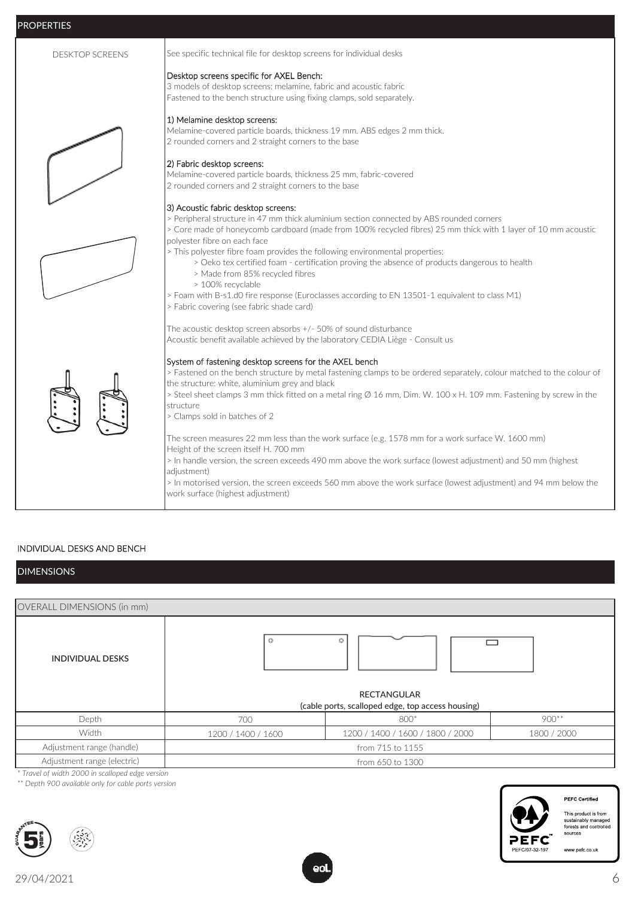| PROPERTIES             |                                                                                                                                                                                                                                                                                                                                                                                                                                                                                                                                                                                                                                                                           |
|------------------------|---------------------------------------------------------------------------------------------------------------------------------------------------------------------------------------------------------------------------------------------------------------------------------------------------------------------------------------------------------------------------------------------------------------------------------------------------------------------------------------------------------------------------------------------------------------------------------------------------------------------------------------------------------------------------|
| <b>DESKTOP SCREENS</b> | See specific technical file for desktop screens for individual desks                                                                                                                                                                                                                                                                                                                                                                                                                                                                                                                                                                                                      |
|                        | Desktop screens specific for AXEL Bench:<br>3 models of desktop screens: melamine, fabric and acoustic fabric<br>Fastened to the bench structure using fixing clamps, sold separately.                                                                                                                                                                                                                                                                                                                                                                                                                                                                                    |
|                        | 1) Melamine desktop screens:<br>Melamine-covered particle boards, thickness 19 mm. ABS edges 2 mm thick.<br>2 rounded corners and 2 straight corners to the base                                                                                                                                                                                                                                                                                                                                                                                                                                                                                                          |
|                        | 2) Fabric desktop screens:<br>Melamine-covered particle boards, thickness 25 mm, fabric-covered<br>2 rounded corners and 2 straight corners to the base                                                                                                                                                                                                                                                                                                                                                                                                                                                                                                                   |
|                        | 3) Acoustic fabric desktop screens:<br>> Peripheral structure in 47 mm thick aluminium section connected by ABS rounded corners<br>> Core made of honeycomb cardboard (made from 100% recycled fibres) 25 mm thick with 1 layer of 10 mm acoustic<br>polyester fibre on each face<br>> This polyester fibre foam provides the following environmental properties:<br>> Oeko tex certified foam - certification proving the absence of products dangerous to health<br>> Made from 85% recycled fibres<br>> 100% recyclable<br>> Foam with B-s1.d0 fire response (Euroclasses according to EN 13501-1 equivalent to class M1)<br>> Fabric covering (see fabric shade card) |
|                        | The acoustic desktop screen absorbs +/- 50% of sound disturbance<br>Acoustic benefit available achieved by the laboratory CEDIA Liège - Consult us                                                                                                                                                                                                                                                                                                                                                                                                                                                                                                                        |
|                        | System of fastening desktop screens for the AXEL bench<br>> Fastened on the bench structure by metal fastening clamps to be ordered separately, colour matched to the colour of<br>the structure: white, aluminium grey and black<br>> Steel sheet clamps 3 mm thick fitted on a metal ring Ø 16 mm, Dim. W. 100 x H. 109 mm. Fastening by screw in the<br>structure<br>> Clamps sold in batches of 2                                                                                                                                                                                                                                                                     |
|                        | The screen measures 22 mm less than the work surface (e.g. 1578 mm for a work surface W. 1600 mm)<br>Height of the screen itself H. 700 mm<br>> In handle version, the screen exceeds 490 mm above the work surface (lowest adjustment) and 50 mm (highest<br>adjustment)<br>> In motorised version, the screen exceeds 560 mm above the work surface (lowest adjustment) and 94 mm below the<br>work surface (highest adjustment)                                                                                                                                                                                                                                        |

## INDIVIDUAL DESKS AND BENCH

## DIMENSIONS

| <b>OVERALL DIMENSIONS (in mm)</b> |                    |                                                                              |             |  |
|-----------------------------------|--------------------|------------------------------------------------------------------------------|-------------|--|
| <b>INDIVIDUAL DESKS</b>           | $\circ$            | ٥<br><b>RECTANGULAR</b><br>(cable ports, scalloped edge, top access housing) |             |  |
| Depth                             | 700                | 800*                                                                         | $900**$     |  |
| Width                             | 1200 / 1400 / 1600 | 1200 / 1400 / 1600 / 1800 / 2000                                             | 1800 / 2000 |  |
| Adjustment range (handle)         | from 715 to 1155   |                                                                              |             |  |
| Adjustment range (electric)       | from 650 to 1300   |                                                                              |             |  |

*\* Travel of width 2000 in scalloped edge version*

*\*\* Depth 900 available only for cable ports version*





**PEFC Certified** 

This product is from<br>sustainably managed<br>forests and controlled<br>sources